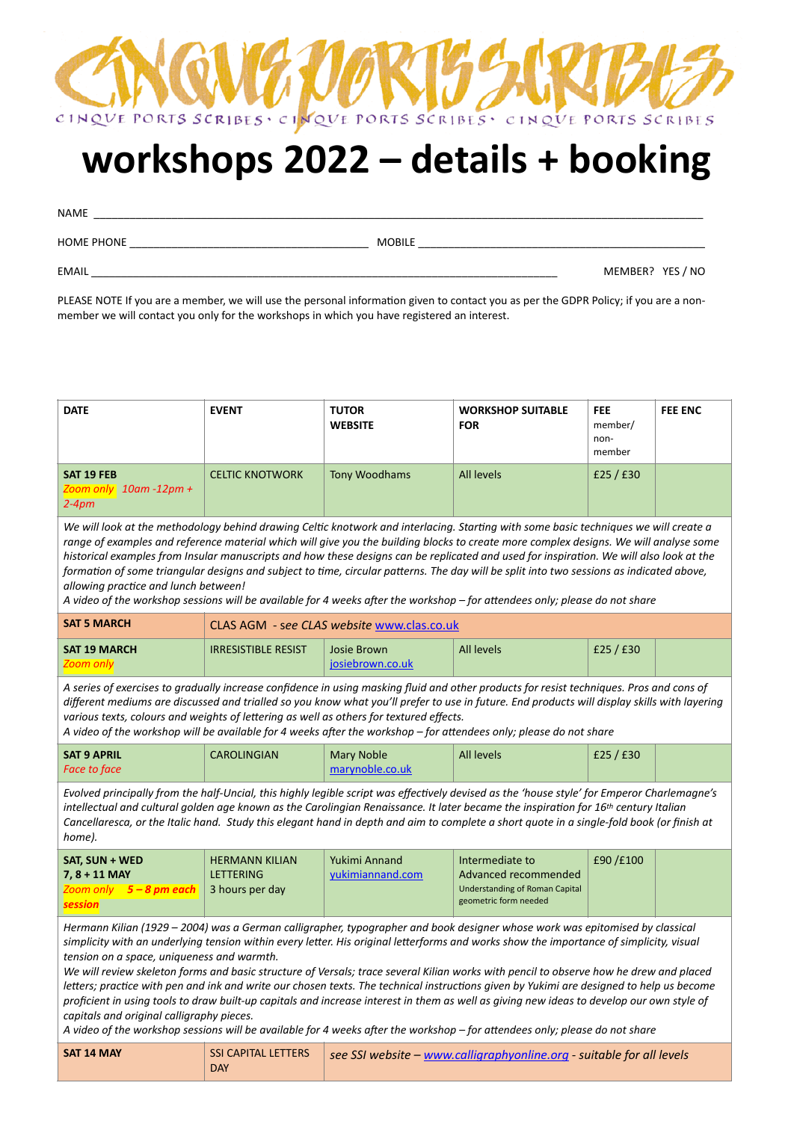

# **workshops 2022 – details + booking**

NAME

HOME PHONE \_\_\_\_\_\_\_\_\_\_\_\_\_\_\_\_\_\_\_\_\_\_\_\_\_\_\_\_\_\_\_\_\_\_\_\_\_\_\_\_ MOBILE \_\_\_\_\_\_\_\_\_\_\_\_\_\_\_\_\_\_\_\_\_\_\_\_\_\_\_\_\_\_\_\_\_\_\_\_\_\_\_\_\_\_\_\_\_\_\_\_

EMAIL \_\_\_\_\_\_\_\_\_\_\_\_\_\_\_\_\_\_\_\_\_\_\_\_\_\_\_\_\_\_\_\_\_\_\_\_\_\_\_\_\_\_\_\_\_\_\_\_\_\_\_\_\_\_\_\_\_\_\_\_\_\_\_\_\_\_\_\_\_\_\_\_\_\_\_\_\_\_ MEMBER? YES / NO

PLEASE NOTE If you are a member, we will use the personal information given to contact you as per the GDPR Policy; if you are a nonmember we will contact you only for the workshops in which you have registered an interest.

| <b>DATE</b>                                                                                                                                                                                                                                                                                                                                                                                                                                                                                                                                                                                                                                                                                                                                                                                                                                                                                                                          | <b>EVENT</b>                                                 | <b>TUTOR</b><br><b>WEBSITE</b>             | <b>WORKSHOP SUITABLE</b><br><b>FOR</b>                                                                    | <b>FEE</b><br>member/<br>non-<br>member | <b>FEE ENC</b> |
|--------------------------------------------------------------------------------------------------------------------------------------------------------------------------------------------------------------------------------------------------------------------------------------------------------------------------------------------------------------------------------------------------------------------------------------------------------------------------------------------------------------------------------------------------------------------------------------------------------------------------------------------------------------------------------------------------------------------------------------------------------------------------------------------------------------------------------------------------------------------------------------------------------------------------------------|--------------------------------------------------------------|--------------------------------------------|-----------------------------------------------------------------------------------------------------------|-----------------------------------------|----------------|
| SAT 19 FEB<br>Zoom only $10$ am -12pm +<br>$2-4pm$                                                                                                                                                                                                                                                                                                                                                                                                                                                                                                                                                                                                                                                                                                                                                                                                                                                                                   | <b>CELTIC KNOTWORK</b>                                       | <b>Tony Woodhams</b>                       | <b>All levels</b>                                                                                         | £25 / £30                               |                |
| We will look at the methodology behind drawing Celtic knotwork and interlacing. Starting with some basic techniques we will create a<br>range of examples and reference material which will give you the building blocks to create more complex designs. We will analyse some<br>historical examples from Insular manuscripts and how these designs can be replicated and used for inspiration. We will also look at the<br>formation of some triangular designs and subject to time, circular patterns. The day will be split into two sessions as indicated above,<br>allowing practice and lunch between!<br>A video of the workshop sessions will be available for 4 weeks after the workshop – for attendees only; please do not share                                                                                                                                                                                          |                                                              |                                            |                                                                                                           |                                         |                |
| <b>SAT 5 MARCH</b>                                                                                                                                                                                                                                                                                                                                                                                                                                                                                                                                                                                                                                                                                                                                                                                                                                                                                                                   |                                                              | CLAS AGM - see CLAS website www.clas.co.uk |                                                                                                           |                                         |                |
| <b>SAT 19 MARCH</b><br>Zoom only                                                                                                                                                                                                                                                                                                                                                                                                                                                                                                                                                                                                                                                                                                                                                                                                                                                                                                     | <b>IRRESISTIBLE RESIST</b>                                   | <b>Josie Brown</b><br>josiebrown.co.uk     | <b>All levels</b>                                                                                         | £25 / £30                               |                |
| A series of exercises to gradually increase confidence in using masking fluid and other products for resist techniques. Pros and cons of<br>different mediums are discussed and trialled so you know what you'll prefer to use in future. End products will display skills with layering<br>various texts, colours and weights of lettering as well as others for textured effects.<br>A video of the workshop will be available for 4 weeks after the workshop – for attendees only; please do not share                                                                                                                                                                                                                                                                                                                                                                                                                            |                                                              |                                            |                                                                                                           |                                         |                |
| <b>SAT 9 APRIL</b><br><b>Face to face</b>                                                                                                                                                                                                                                                                                                                                                                                                                                                                                                                                                                                                                                                                                                                                                                                                                                                                                            | <b>CAROLINGIAN</b>                                           | <b>Mary Noble</b><br>marynoble.co.uk       | <b>All levels</b>                                                                                         | £25 / £30                               |                |
| Evolved principally from the half-Uncial, this highly legible script was effectively devised as the 'house style' for Emperor Charlemagne's<br>intellectual and cultural golden age known as the Carolingian Renaissance. It later became the inspiration for 16th century Italian<br>Cancellaresca, or the Italic hand. Study this elegant hand in depth and aim to complete a short quote in a single-fold book (or finish at<br>home).                                                                                                                                                                                                                                                                                                                                                                                                                                                                                            |                                                              |                                            |                                                                                                           |                                         |                |
| SAT, SUN + WED<br>$7, 8 + 11$ MAY<br>Zoom only 5 - 8 pm each<br><b>session</b>                                                                                                                                                                                                                                                                                                                                                                                                                                                                                                                                                                                                                                                                                                                                                                                                                                                       | <b>HERMANN KILIAN</b><br><b>LETTERING</b><br>3 hours per day | Yukimi Annand<br>yukimiannand.com          | Intermediate to<br>Advanced recommended<br><b>Understanding of Roman Capital</b><br>geometric form needed | £90/£100                                |                |
| Hermann Kilian (1929 – 2004) was a German calligrapher, typographer and book designer whose work was epitomised by classical<br>simplicity with an underlying tension within every letter. His original letterforms and works show the importance of simplicity, visual<br>tension on a space, uniqueness and warmth.<br>We will review skeleton forms and basic structure of Versals; trace several Kilian works with pencil to observe how he drew and placed<br>letters; practice with pen and ink and write our chosen texts. The technical instructions given by Yukimi are designed to help us become<br>proficient in using tools to draw built-up capitals and increase interest in them as well as giving new ideas to develop our own style of<br>capitals and original calligraphy pieces.<br>A video of the workshop sessions will be available for 4 weeks after the workshop – for attendees only; please do not share |                                                              |                                            |                                                                                                           |                                         |                |
| SAT 14 MAY                                                                                                                                                                                                                                                                                                                                                                                                                                                                                                                                                                                                                                                                                                                                                                                                                                                                                                                           | <b>SSI CAPITAL LETTERS</b><br><b>DAY</b>                     |                                            | see SSI website - www.calligraphyonline.org - suitable for all levels                                     |                                         |                |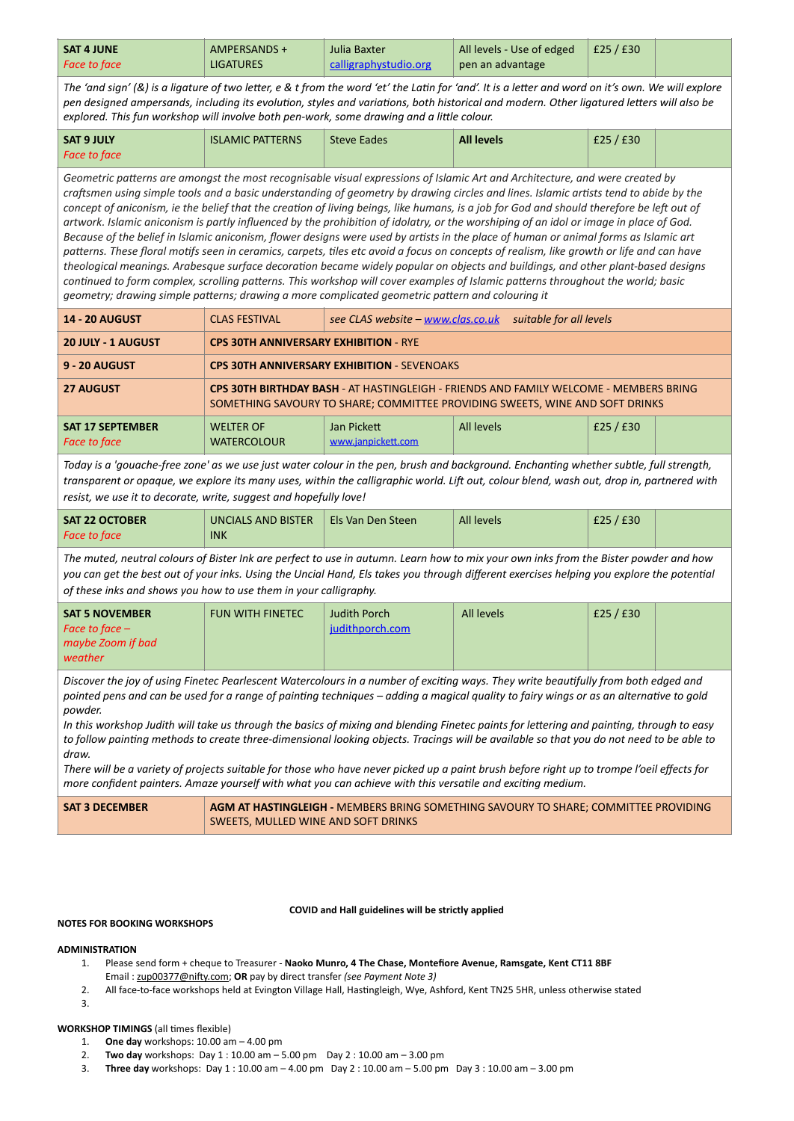| <b>SAT 4 JUNE</b>   | AMPERSANDS +     | Julia Baxter          | All levels - Use of edged | £25/£30 |  |
|---------------------|------------------|-----------------------|---------------------------|---------|--|
| <b>Face to face</b> | <b>LIGATURES</b> | calligraphystudio.org | pen an advantage          |         |  |

*The 'and sign' (&) is a ligature of two letter, e & t from the word 'et' the Latin for 'and'. It is a letter and word on it's own. We will explore pen designed ampersands, including its evolution, styles and variations, both historical and modern. Other ligatured letters will also be explored. This fun workshop will involve both pen-work, some drawing and a little colour.* 

| SAT 9 JULY          | <b>ISLAMIC PATTERNS</b> | <b>Steve Eades</b> | <b>All levels</b> | £25 / £30 |  |
|---------------------|-------------------------|--------------------|-------------------|-----------|--|
| <b>Face to face</b> |                         |                    |                   |           |  |

*Geometric patterns are amongst the most recognisable visual expressions of Islamic Art and Architecture, and were created by craftsmen using simple tools and a basic understanding of geometry by drawing circles and lines. Islamic artists tend to abide by the concept of aniconism, ie the belief that the creation of living beings, like humans, is a job for God and should therefore be left out of artwork. Islamic aniconism is partly influenced by the prohibition of idolatry, or the worshiping of an idol or image in place of God. Because of the belief in Islamic aniconism, flower designs were used by artists in the place of human or animal forms as Islamic art patterns. These floral motifs seen in ceramics, carpets, tiles etc avoid a focus on concepts of realism, like growth or life and can have theological meanings. Arabesque surface decoration became widely popular on objects and buildings, and other plant-based designs continued to form complex, scrolling patterns. This workshop will cover examples of Islamic patterns throughout the world; basic geometry; drawing simple patterns; drawing a more complicated geometric pattern and colouring it*

| <b>14 - 20 AUGUST</b>                          | <b>CLAS FESTIVAL</b>                                                                                                                                                  | see CLAS website - www.clas.co.uk suitable for all levels |            |           |  |
|------------------------------------------------|-----------------------------------------------------------------------------------------------------------------------------------------------------------------------|-----------------------------------------------------------|------------|-----------|--|
| <b>20 JULY - 1 AUGUST</b>                      | <b>CPS 30TH ANNIVERSARY EXHIBITION - RYE</b>                                                                                                                          |                                                           |            |           |  |
| <b>9 - 20 AUGUST</b>                           | <b>CPS 30TH ANNIVERSARY EXHIBITION - SEVENOAKS</b>                                                                                                                    |                                                           |            |           |  |
| <b>27 AUGUST</b>                               | CPS 30TH BIRTHDAY BASH - AT HASTINGLEIGH - FRIENDS AND FAMILY WELCOME - MEMBERS BRING<br>SOMETHING SAVOURY TO SHARE; COMMITTEE PROVIDING SWEETS, WINE AND SOFT DRINKS |                                                           |            |           |  |
| <b>SAT 17 SEPTEMBER</b><br><b>Face to face</b> | <b>WELTER OF</b><br><b>WATERCOLOUR</b>                                                                                                                                | Jan Pickett<br>www.janpickett.com                         | All levels | £25 / £30 |  |

*Today is a 'gouache-free zone' as we use just water colour in the pen, brush and background. Enchanting whether subtle, full strength, transparent or opaque, we explore its many uses, within the calligraphic world. Lift out, colour blend, wash out, drop in, partnered with resist, we use it to decorate, write, suggest and hopefully love!* 

| <b>SAT 22 OCTOBER</b> | UNCIALS AND BISTER | Els Van Den Steen | <b>All levels</b> | £25 / £30 |  |
|-----------------------|--------------------|-------------------|-------------------|-----------|--|
| <b>Face to face</b>   | <b>INK</b>         |                   |                   |           |  |

*The muted, neutral colours of Bister Ink are perfect to use in autumn. Learn how to mix your own inks from the Bister powder and how you can get the best out of your inks. Using the Uncial Hand, Els takes you through different exercises helping you explore the potential of these inks and shows you how to use them in your calligraphy.*

| <b>SAT 5 NOVEMBER</b> | <b>FUN WITH FINETEC</b> | <b>Judith Porch</b> | All levels | £25 / £30 |  |
|-----------------------|-------------------------|---------------------|------------|-----------|--|
| Face to face $-$      |                         | judithporch.com     |            |           |  |
| maybe Zoom if bad     |                         |                     |            |           |  |
| weather               |                         |                     |            |           |  |

*Discover the joy of using Finetec Pearlescent Watercolours in a number of exciting ways. They write beautifully from both edged and pointed pens and can be used for a range of painting techniques – adding a magical quality to fairy wings or as an alternative to gold powder.* 

*In this workshop Judith will take us through the basics of mixing and blending Finetec paints for lettering and painting, through to easy*  to follow painting methods to create three-dimensional looking objects. Tracings will be available so that you do not need to be able to *draw.*

*There will be a variety of projects suitable for those who have never picked up a paint brush before right up to trompe l'oeil effects for more confident painters. Amaze yourself with what you can achieve with this versatile and exciting medium.*

| <b>SAT 3 DECEMBER</b> | <b>AGM AT HASTINGLEIGH - MEMBERS BRING SOMETHING SAVOURY TO SHARE; COMMITTEE PROVIDING</b> |
|-----------------------|--------------------------------------------------------------------------------------------|
|                       | SWEETS, MULLED WINE AND SOFT DRINKS                                                        |

**COVID and Hall guidelines will be strictly applied**

## **NOTES FOR BOOKING WORKSHOPS**

#### **ADMINISTRATION**

- 1. Please send form + cheque to Treasurer **Naoko Munro, 4 The Chase, Montefiore Avenue, Ramsgate, Kent CT11 8BF**  Email : [zup00377@nifty.com;](mailto:zup00377@nifty.com) **OR** pay by direct transfer *(see Payment Note 3)*
- 2. All face-to-face workshops held at Evington Village Hall, Hastingleigh, Wye, Ashford, Kent TN25 5HR, unless otherwise stated
- 3.

**WORKSHOP TIMINGS** (all times flexible)

- 1. **One day** workshops: 10.00 am 4.00 pm
- 2. **Two day** workshops: Day 1 : 10.00 am 5.00 pm Day 2 : 10.00 am 3.00 pm
- 3. **Three day** workshops: Day 1 : 10.00 am 4.00 pm Day 2 : 10.00 am 5.00 pm Day 3 : 10.00 am 3.00 pm